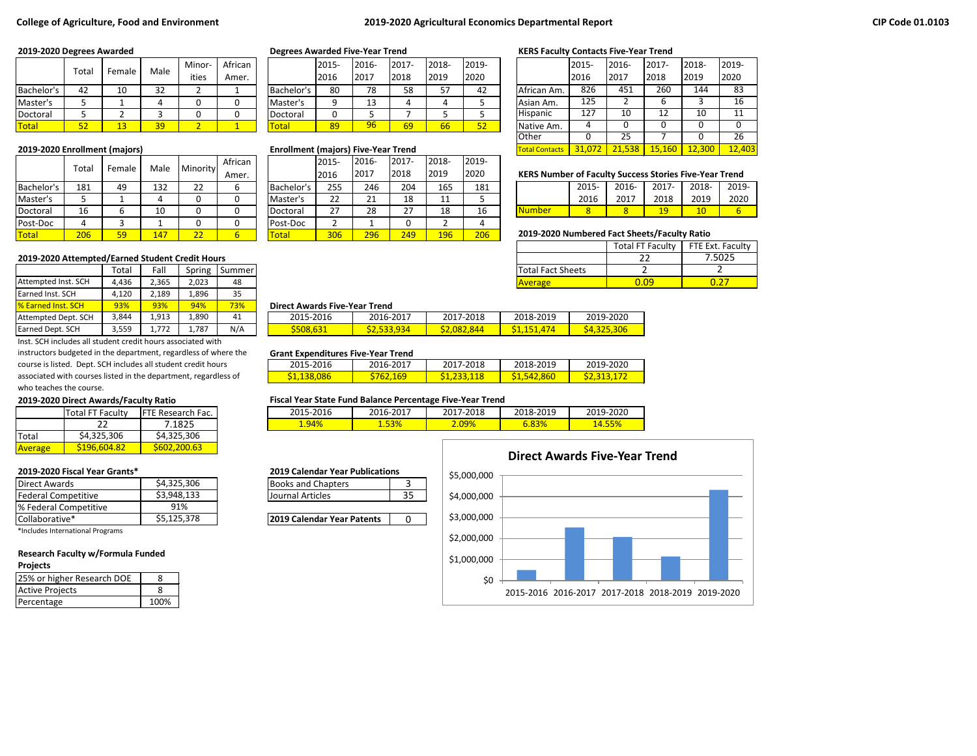### **College of Agriculture, Food and Environment 2019-2020 Agricultural Economics Departmental Report**

|              | Total     | Female | Male               | Minor- | African |                        | 2015- | 2016- | 2017- | 2018- | 2019- |                 | 2015                        | 2016- | 2017- | 2018- | 2019- |
|--------------|-----------|--------|--------------------|--------|---------|------------------------|-------|-------|-------|-------|-------|-----------------|-----------------------------|-------|-------|-------|-------|
|              |           |        |                    | ities  | Amer.   |                        | 2016  | 2017  | 2018  | 2019  | 2020  |                 | 2016                        | 2017  | 2018  | 2019  | 2020  |
| Bachelor's   | 44        | 10     | $\mathbf{A}$<br>ےر |        |         | Bachelor' <sup>,</sup> | 80    | 78    | 58    | ᄗ     | 42    | African Am.     | 826                         | 451   | 260   | 144   | 83    |
| Master's     |           |        |                    |        |         | Master's               |       | 13    |       |       |       | Asian Am.       | $\sim$ $\sim$ $\sim$<br>125 |       |       |       | 16    |
| Doctoral     |           |        |                    |        |         | Doctoral               |       |       |       |       |       | <b>Hispanic</b> |                             | 10    | --    | 10    | 11    |
| <b>Total</b> | - -<br>ےر |        | 39                 |        |         | Total                  | 89    | 96    | 69    | 66    | 52    | Native Am.      |                             |       |       |       |       |

|              |       |        |      |          | African |              | 2015- | 2016-    | 2017- | 2018-      | 2019- |                                              |                                                               |       |       |       |       |                 |
|--------------|-------|--------|------|----------|---------|--------------|-------|----------|-------|------------|-------|----------------------------------------------|---------------------------------------------------------------|-------|-------|-------|-------|-----------------|
|              | Total | Female | Male | Minority | Amer.   |              | 2016  | 2017     | 2018  | 2019       | 2020  |                                              | <b>KERS Number of Faculty Success Stories Five-Year Trend</b> |       |       |       |       |                 |
| Bachelor's   | 181   | 49     | 132  | 22       |         | Bachelor's   | 255   | 246      | 204   | 165        | 181   |                                              |                                                               | 2015- | 2016- | 2017- | 2018- | 201             |
| Master's     |       |        |      |          |         | Master's     | 22    | ว 1<br>ᅀ | 18    | <b>. .</b> |       |                                              |                                                               | 2016  | 2017  | 2018  | 2019  | 20 <sub>i</sub> |
| Doctoral     | 16    |        | 10   |          |         | Doctoral     | วว    | 28       | 27    | 18         | 16    |                                              | lNumber                                                       |       |       | 10    | 10    |                 |
| Post-Doc     |       |        |      |          |         | Post-Doc     |       |          |       |            |       |                                              |                                                               |       |       |       |       |                 |
| <b>Total</b> | 206   | 59     | 147  |          |         | <b>Total</b> | 306   | 296      | 249   | 196        | 206   | 2019-2020 Numbered Fact Sheets/Faculty Ratio |                                                               |       |       |       |       |                 |

### **2019-2020 Attempted/Earned Student Credit Hours**

|                           | Гоtal | Fall  | Spring | Summerl |                                      |             |             | <b>Total Fact Sheets</b> |  |
|---------------------------|-------|-------|--------|---------|--------------------------------------|-------------|-------------|--------------------------|--|
| Attempted Inst. SCH       | 4.436 | 2,365 | 2.023  | 48      |                                      |             |             | <b>Average</b>           |  |
| Earned Inst. SCH          | 4.120 | 2.189 | 1,896  | 35      |                                      |             |             |                          |  |
| <b>8</b> Earned Inst. SCH | 93%   | 93%   | 94%    | 73%     | <b>Direct Awards Five-Year Trend</b> |             |             |                          |  |
| Attempted Dept. SCH       | 3.844 | 1,913 | 1.890  | 41      | 2015-2016                            | 2016-2017   | 2017-2018   | 2018-2019                |  |
| Earned Dept. SCH          | 3,559 | 1,772 | 1.787  | N/A     | \$508.631                            | \$2.533.934 | \$2,082,844 | \$1.151.474              |  |

Inst. SCH includes all student credit hours associated with instructors budgeted in the department, regardless of where the course is listed. Dept. SCH includes all student credit hours associated with courses listed in the department, regardless of

# who teaches the course.

| 2019-2020 Direct Awards/Faculty Ratio |                         |                          |  |  |  |  |  |  |
|---------------------------------------|-------------------------|--------------------------|--|--|--|--|--|--|
|                                       | <b>Total FT Faculty</b> | <b>FTE Research Fac.</b> |  |  |  |  |  |  |
|                                       | 22                      | 7.1825                   |  |  |  |  |  |  |
| Total                                 | \$4,325,306             | \$4,325,306              |  |  |  |  |  |  |
| Average                               | \$196,604.82            | \$602,200.63             |  |  |  |  |  |  |

| <b>Direct Awards</b>       | \$4,325,306 |  |  |  |  |  |
|----------------------------|-------------|--|--|--|--|--|
| <b>Federal Competitive</b> | \$3,948,133 |  |  |  |  |  |
| % Federal Competitive      | 91%         |  |  |  |  |  |
| Collaborative*             | \$5,125,378 |  |  |  |  |  |

\*Includes International Programs

### **Research Faculty w/Formula Funded**

### **Projects**

| 25% or higher Research DOE |  |
|----------------------------|--|
| <b>Active Projects</b>     |  |
| Percentage                 |  |

|            | 2015- | 2016- | $2017 -$ | 2018- | 2019- |
|------------|-------|-------|----------|-------|-------|
|            | 2016  | 2017  | 2018     | 2019  | 2020  |
| Bachelor's | 80    | 78    | 58       | 57    | 42    |
| Master's   |       | 13    |          |       |       |
| Doctoral   |       |       |          |       |       |
| otal       | 89    | 96    | 69       | 66    |       |

#### **2019-2020 Enrollment (majors) Enrollment (majors) Five-Year Trend** Total Contacts 31,072 21,538 15,160 12,300 12,403

|            | 2015- | 2016- | $2017 -$ | 2018-         | 2019- |
|------------|-------|-------|----------|---------------|-------|
|            | 2016  | 2017  | 2018     | 2019          | 2020  |
| Bachelor's | 255   | 246   | 204      | 165           | 181   |
| Master's   | 22    | 21    | 18       | 11            |       |
| Doctoral   | 27    | 28    | 27       | 18            | 16    |
| Post-Doc   |       |       | 0        | $\mathcal{P}$ |       |
| Total      | 306   | 296   | 249      | 196           | 206   |

#### **2019-2020 Degrees Awarded Degrees Awarded Five-Year Trend KERS Faculty Contacts Five-Year Trend**

|                       | 2015-  | 2016-         | $2017 -$ | 2018-  | 2019-  |
|-----------------------|--------|---------------|----------|--------|--------|
|                       | 2016   | 2017          | 2018     | 2019   | 2020   |
| African Am.           | 826    | 451           | 260      | 144    | 83     |
| Asian Am.             | 125    | $\mathcal{P}$ | 6        | 3      | 16     |
| <b>Hispanic</b>       | 127    | 10            | 12       | 10     | 11     |
| Native Am.            | 4      | 0             | 0        | 0      |        |
| Other                 | O      | 25            |          | ი      | 26     |
| <b>Total Contacts</b> | 31,072 | 21,538        | 15,160   | 12,300 | 12,403 |

#### **KERS Number of Faculty Success Stories Five-Year Trend**

|                 | 2015- | 2016- | 2017- | 2018- | 2019- |
|-----------------|-------|-------|-------|-------|-------|
|                 | 2016  | 2017  | 2018  | 2019  | 2020  |
| <b>I</b> Number |       |       | 1 G.  |       |       |

### 2019-2020 Numbered Fact Sheets/Faculty Ratio

|                          | <b>Total FT Faculty</b> | FTE Ext. Faculty |
|--------------------------|-------------------------|------------------|
|                          |                         | 7.5025           |
| <b>Total Fact Sheets</b> |                         |                  |
| <b>Average</b>           |                         |                  |

#### 93% 93% 94% 73% **Direct Awards Five-Year Trend**

| PH CULTIVATUS I IVC TCUI TICHU |                    |                    |            |             |  |  |  |  |  |  |
|--------------------------------|--------------------|--------------------|------------|-------------|--|--|--|--|--|--|
| 2015-2016                      | 2016-2017          | 2017-2018          | 2018-2019  | 2019-2020   |  |  |  |  |  |  |
| \$508,631                      | <u>\$2,533,934</u> | <u>\$2,082,844</u> | S1.151.474 | \$4,325,306 |  |  |  |  |  |  |

#### **Grant Expenditures Five-Year Trend**

| 2015-2016          | 2016-2017        | 2017-2018             | 2018-2019  | 2019-2020  |
|--------------------|------------------|-----------------------|------------|------------|
| <u>\$1,138,086</u> | <u> 762,169 </u> | 1.233.118<br>31 DQQ 1 | S1.542.860 | S2.313.172 |

#### **2019-2020 Direct Awards/Faculty Ratio Fiscal Year State Fund Balance Percentage Five-Year Trend**

| 2015-2016 | 2016-2017     | <b>2017</b><br>7-2018 | 2018-2019 | 2019-2020 |
|-----------|---------------|-----------------------|-----------|-----------|
| 94%       | rao.<br>1.53% | 2.09%                 | $6.83\%$  |           |

#### **2019-2020 Fiscal Year Grants\* 2019 Calendar Year Publications** Books and Chapters 13

Journal Articles 1995

**2019 Calendar Year Patents** 0

# \$0 \$1,000,000 \$2,000,000 \$3,000,000 \$4,000,000 \$5,000,000 2015-2016 2016-2017 2017-2018 2018-2019 2019-2020

**Direct Awards Five-Year Trend**